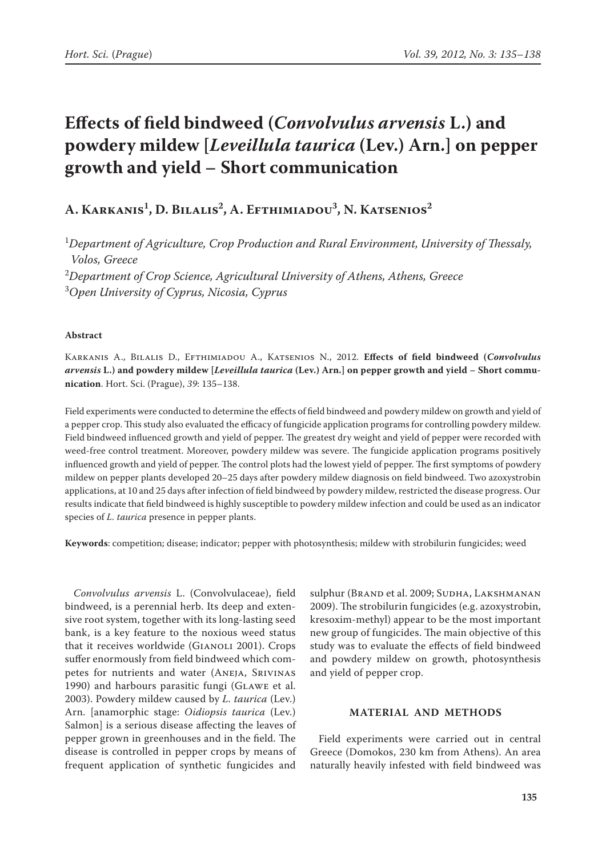# **Effects of field bindweed (***Convolvulus arvensis* **L.) and powdery mildew [***Leveillula taurica* **(Lev.) Arn.] on pepper growth and yield – Short communication**

# **A. Karkanis1 , D. Bilalis2 , A. Efthimiadou3 , N. Katsenios2**

 *Department of Agriculture, Crop Production and Rural Environment, University of Thessaly, Volos, Greece Department of Crop Science, Agricultural University of Athens, Athens, Greece Open University of Cyprus, Nicosia, Cyprus*

## **Abstract**

Karkanis A., Bilalis D., Efthimiadou A., Katsenios N., 2012. **Effects of field bindweed (***Convolvulus arvensis* **L.) and powdery mildew [***Leveillula taurica* **(Lev.) Arn.] on pepper growth and yield – Short communication**. Hort. Sci. (Prague), *39*: 135–138.

Field experiments were conducted to determine the effects of field bindweed and powdery mildew on growth and yield of a pepper crop. This study also evaluated the efficacy of fungicide application programs for controlling powdery mildew. Field bindweed influenced growth and yield of pepper. The greatest dry weight and yield of pepper were recorded with weed-free control treatment. Moreover, powdery mildew was severe. The fungicide application programs positively influenced growth and yield of pepper. The control plots had the lowest yield of pepper. The first symptoms of powdery mildew on pepper plants developed 20–25 days after powdery mildew diagnosis on field bindweed. Two azoxystrobin applications, at 10 and 25 days after infection of field bindweed by powdery mildew, restricted the disease progress. Our results indicate that field bindweed is highly susceptible to powdery mildew infection and could be used as an indicator species of *L. taurica* presence in pepper plants.

**Keywords**: competition; disease; indicator; pepper with photosynthesis; mildew with strobilurin fungicides; weed

*Convolvulus arvensis* L. (Convolvulaceae), field bindweed, is a perennial herb. Its deep and extensive root system, together with its long-lasting seed bank, is a key feature to the noxious weed status that it receives worldwide (GIANOLI 2001). Crops suffer enormously from field bindweed which competes for nutrients and water (Aneja, Srivinas 1990) and harbours parasitic fungi (Glawe et al. 2003). Powdery mildew caused by *L. taurica* (Lev.) Arn. [anamorphic stage: *Oidiopsis taurica* (Lev.) Salmon] is a serious disease affecting the leaves of pepper grown in greenhouses and in the field. The disease is controlled in pepper crops by means of frequent application of synthetic fungicides and

sulphur (BRAND et al. 2009; SUDHA, LAKSHMANAN 2009). The strobilurin fungicides (e.g. azoxystrobin, kresoxim-methyl) appear to be the most important new group of fungicides. The main objective of this study was to evaluate the effects of field bindweed and powdery mildew on growth, photosynthesis and yield of pepper crop.

# **MATERIAL AND METHODS**

Field experiments were carried out in central Greece (Domokos, 230 km from Athens). An area naturally heavily infested with field bindweed was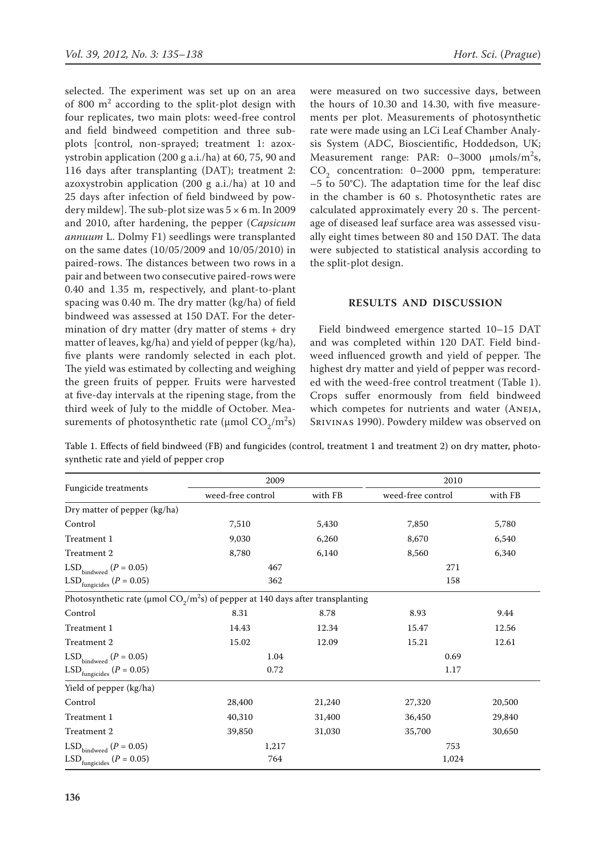selected. The experiment was set up on an area of 800  $m<sup>2</sup>$  according to the split-plot design with four replicates, two main plots: weed-free control and field bindweed competition and three subplots [control, non-sprayed; treatment 1: azoxystrobin application (200 g a.i./ha) at 60, 75, 90 and 116 days after transplanting (DAT); treatment 2: azoxystrobin application (200 g a.i./ha) at 10 and 25 days after infection of field bindweed by powdery mildew]. The sub-plot size was  $5 \times 6$  m. In 2009 and 2010, after hardening, the pepper (*Capsicum annuum* L. Dolmy F1) seedlings were transplanted on the same dates (10/05/2009 and 10/05/2010) in paired-rows. The distances between two rows in a pair and between two consecutive paired-rows were 0.40 and 1.35 m, respectively, and plant-to-plant spacing was 0.40 m. The dry matter (kg/ha) of field bindweed was assessed at 150 DAT. For the determination of dry matter (dry matter of stems + dry matter of leaves, kg/ha) and yield of pepper (kg/ha), five plants were randomly selected in each plot. The yield was estimated by collecting and weighing the green fruits of pepper. Fruits were harvested at five-day intervals at the ripening stage, from the third week of July to the middle of October. Measurements of photosynthetic rate ( $\mu$ mol CO<sub>2</sub>/m<sup>2</sup>s)

were measured on two successive days, between the hours of 10.30 and 14.30, with five measurements per plot. Measurements of photosynthetic rate were made using an LCi Leaf Chamber Analysis System (ADC, Bioscientific, Hoddedson, UK; Measurement range: PAR: 0-3000 µmols/m<sup>2</sup>s,  $CO<sub>2</sub>$  concentration: 0–2000 ppm, temperature: –5 to 50°C). The adaptation time for the leaf disc in the chamber is 60 s. Photosynthetic rates are calculated approximately every 20 s. The percentage of diseased leaf surface area was assessed visually eight times between 80 and 150 DAT. The data were subjected to statistical analysis according to the split-plot design.

### **RESULTS AND DISCUSSION**

Field bindweed emergence started 10–15 DAT and was completed within 120 DAT. Field bindweed influenced growth and yield of pepper. The highest dry matter and yield of pepper was recorded with the weed-free control treatment (Table 1). Crops suffer enormously from field bindweed which competes for nutrients and water (Aneja, Srivinas 1990). Powdery mildew was observed on

Table 1. Effects of field bindweed (FB) and fungicides (control, treatment 1 and treatment 2) on dry matter, photosynthetic rate and yield of pepper crop

|                                                                                                              | 2009              |         | 2010              |         |  |
|--------------------------------------------------------------------------------------------------------------|-------------------|---------|-------------------|---------|--|
| Fungicide treatments                                                                                         | weed-free control | with FB | weed-free control | with FB |  |
| Dry matter of pepper (kg/ha)                                                                                 |                   |         |                   |         |  |
| Control                                                                                                      | 7,510             | 5,430   | 7,850             | 5,780   |  |
| Treatment 1                                                                                                  | 9,030             | 6,260   | 8,670             | 6,540   |  |
| Treatment 2                                                                                                  | 8,780             | 6,140   | 8,560             | 6,340   |  |
| $LSD$ <sub>bindweed</sub> ( $P = 0.05$ )                                                                     | 467               |         | 271               |         |  |
| $LSD$ <sub>fungicides</sub> ( $P = 0.05$ )                                                                   | 362               |         | 158               |         |  |
| Photosynthetic rate ( $\mu$ mol CO <sub>2</sub> /m <sup>2</sup> s) of pepper at 140 days after transplanting |                   |         |                   |         |  |
| Control                                                                                                      | 8.31              | 8.78    | 8.93              | 9.44    |  |
| Treatment 1                                                                                                  | 14.43             | 12.34   | 15.47             | 12.56   |  |
| Treatment 2                                                                                                  | 15.02             | 12.09   | 15.21             | 12.61   |  |
| $LSD$ <sub>bindweed</sub> ( $P = 0.05$ )                                                                     | 1.04              |         | 0.69              |         |  |
| $LSD$ <sub>fungicides</sub> ( $P = 0.05$ )                                                                   | 0.72              |         | 1.17              |         |  |
| Yield of pepper (kg/ha)                                                                                      |                   |         |                   |         |  |
| Control                                                                                                      | 28,400            | 21,240  | 27,320            | 20,500  |  |
| Treatment 1                                                                                                  | 40,310            | 31,400  | 36,450            | 29,840  |  |
| Treatment 2                                                                                                  | 39,850            | 31,030  | 35,700            | 30,650  |  |
| $LSD$ <sub>bindweed</sub> ( $P = 0.05$ )                                                                     | 1,217             |         | 753               |         |  |
| $LSD$ <sub>fungicides</sub> ( $P = 0.05$ )                                                                   | 764               |         | 1,024             |         |  |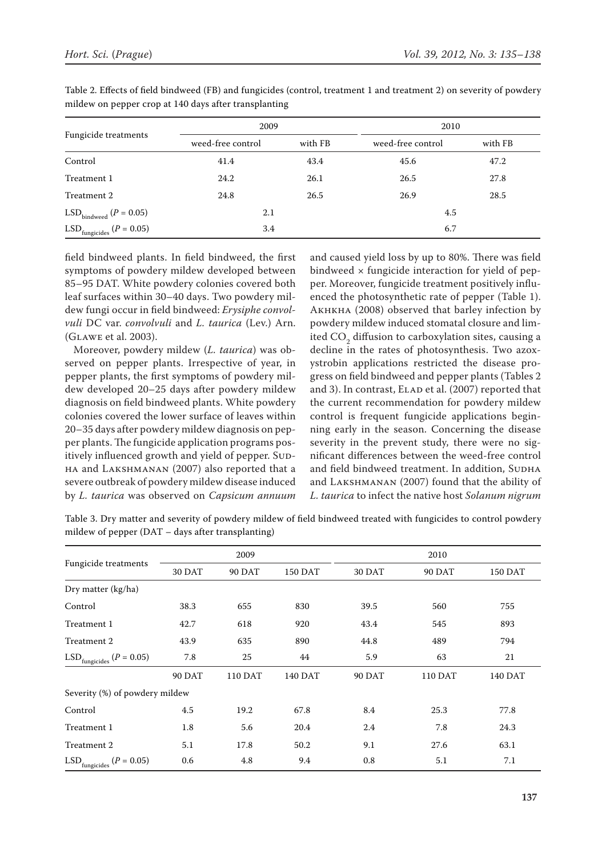| Fungicide treatments                       | 2009              |         | 2010              |         |  |
|--------------------------------------------|-------------------|---------|-------------------|---------|--|
|                                            | weed-free control | with FB | weed-free control | with FB |  |
| Control                                    | 41.4              | 43.4    | 45.6              | 47.2    |  |
| Treatment 1                                | 24.2              | 26.1    | 26.5              | 27.8    |  |
| Treatment 2                                | 24.8              | 26.5    | 26.9              | 28.5    |  |
| $LSDbindweed$ ( $P = 0.05$ )               | 2.1               |         | 4.5               |         |  |
| $LSD$ <sub>fungicides</sub> ( $P = 0.05$ ) | 3.4               |         | 6.7               |         |  |

Table 2. Effects of field bindweed (FB) and fungicides (control, treatment 1 and treatment 2) on severity of powdery mildew on pepper crop at 140 days after transplanting

field bindweed plants. In field bindweed, the first symptoms of powdery mildew developed between 85–95 DAT. White powdery colonies covered both leaf surfaces within 30–40 days. Two powdery mildew fungi occur in field bindweed: *Erysiphe convolvuli* DC var. *convolvuli* and *L. taurica* (Lev.) Arn. (Glawe et al. 2003).

Moreover, powdery mildew (*L. taurica*) was observed on pepper plants. Irrespective of year, in pepper plants, the first symptoms of powdery mildew developed 20–25 days after powdery mildew diagnosis on field bindweed plants. White powdery colonies covered the lower surface of leaves within 20–35 days after powdery mildew diagnosis on pepper plants. The fungicide application programs positively influenced growth and yield of pepper. Supha and Lakshmanan (2007) also reported that a severe outbreak of powdery mildew disease induced by *L. taurica* was observed on *Capsicum annuum*

and caused yield loss by up to 80%. There was field bindweed  $\times$  fungicide interaction for yield of pepper. Moreover, fungicide treatment positively influenced the photosynthetic rate of pepper (Table 1). AKHKHA (2008) observed that barley infection by powdery mildew induced stomatal closure and limited  $CO<sub>2</sub>$  diffusion to carboxylation sites, causing a decline in the rates of photosynthesis. Two azoxystrobin applications restricted the disease progress on field bindweed and pepper plants (Tables 2 and 3). In contrast, ELAD et al. (2007) reported that the current recommendation for powdery mildew control is frequent fungicide applications beginning early in the season. Concerning the disease severity in the prevent study, there were no significant differences between the weed-free control and field bindweed treatment. In addition, SUDHA and Lakshmanan (2007) found that the ability of *L. taurica* to infect the native host *Solanum nigrum*

Table 3. Dry matter and severity of powdery mildew of field bindweed treated with fungicides to control powdery mildew of pepper (DAT – days after transplanting)

| Fungicide treatments                       |               | 2009          |                |               | 2010          |                |  |  |
|--------------------------------------------|---------------|---------------|----------------|---------------|---------------|----------------|--|--|
|                                            | 30 DAT        | <b>90 DAT</b> | <b>150 DAT</b> | 30 DAT        | <b>90 DAT</b> | <b>150 DAT</b> |  |  |
| Dry matter (kg/ha)                         |               |               |                |               |               |                |  |  |
| Control                                    | 38.3          | 655           | 830            | 39.5          | 560           | 755            |  |  |
| Treatment 1                                | 42.7          | 618           | 920            | 43.4          | 545           | 893            |  |  |
| Treatment 2                                | 43.9          | 635           | 890            | 44.8          | 489           | 794            |  |  |
| $LSD$ <sub>fungicides</sub> ( $P = 0.05$ ) | 7.8           | 25            | 44             | 5.9           | 63            | 21             |  |  |
|                                            | <b>90 DAT</b> | 110 DAT       | <b>140 DAT</b> | <b>90 DAT</b> | 110 DAT       | <b>140 DAT</b> |  |  |
| Severity (%) of powdery mildew             |               |               |                |               |               |                |  |  |
| Control                                    | 4.5           | 19.2          | 67.8           | 8.4           | 25.3          | 77.8           |  |  |
| Treatment 1                                | 1.8           | 5.6           | 20.4           | 2.4           | 7.8           | 24.3           |  |  |
| Treatment 2                                | 5.1           | 17.8          | 50.2           | 9.1           | 27.6          | 63.1           |  |  |
| $LSD$ <sub>fungicides</sub> ( $P = 0.05$ ) | 0.6           | 4.8           | 9.4            | 0.8           | 5.1           | 7.1            |  |  |